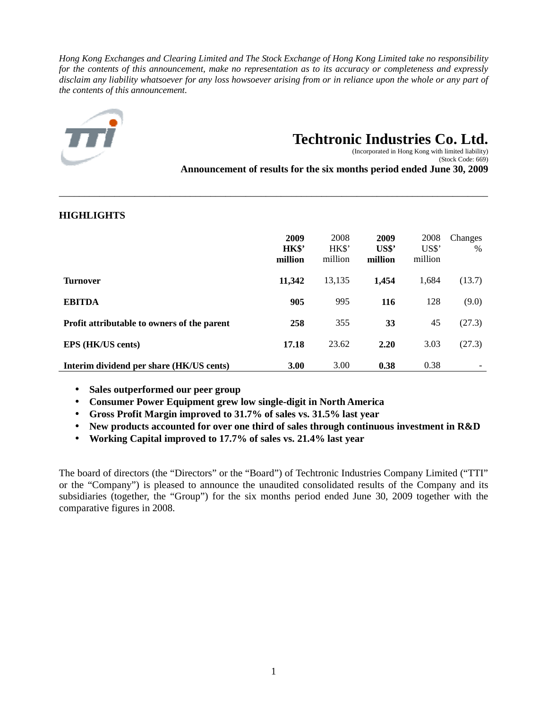*Hong Kong Exchanges and Clearing Limited and The Stock Exchange of Hong Kong Limited take no responsibility for the contents of this announcement, make no representation as to its accuracy or completeness and expressly disclaim any liability whatsoever for any loss howsoever arising from or in reliance upon the whole or any part of the contents of this announcement.* 



# **Techtronic Industries Co. Ltd.**

 (Incorporated in Hong Kong with limited liability) (Stock Code: 669)

**Announcement of results for the six months period ended June 30, 2009**

| <b>HIGHLIGHTS</b>                           |                          |                          |                                                      |                         |                 |
|---------------------------------------------|--------------------------|--------------------------|------------------------------------------------------|-------------------------|-----------------|
|                                             | 2009<br>HK\$'<br>million | 2008<br>HK\$'<br>million | 2009<br>$\mathbf{U}\mathbf{S}\mathbf{\$}$<br>million | 2008<br>USS'<br>million | Changes<br>$\%$ |
| <b>Turnover</b>                             | 11,342                   | 13,135                   | 1,454                                                | 1,684                   | (13.7)          |
| <b>EBITDA</b>                               | 905                      | 995                      | 116                                                  | 128                     | (9.0)           |
| Profit attributable to owners of the parent | 258                      | 355                      | 33                                                   | 45                      | (27.3)          |
| EPS (HK/US cents)                           | 17.18                    | 23.62                    | 2.20                                                 | 3.03                    | (27.3)          |
| Interim dividend per share (HK/US cents)    | <b>3.00</b>              | 3.00                     | 0.38                                                 | 0.38                    |                 |

\_\_\_\_\_\_\_\_\_\_\_\_\_\_\_\_\_\_\_\_\_\_\_\_\_\_\_\_\_\_\_\_\_\_\_\_\_\_\_\_\_\_\_\_\_\_\_\_\_\_\_\_\_\_\_\_\_\_\_\_\_\_\_\_\_\_\_\_\_\_\_\_\_\_\_\_\_\_\_\_\_\_\_\_\_

# **HIGHLIGHTS**

- **Sales outperformed our peer group**
- **Consumer Power Equipment grew low single-digit in North America**
- **Gross Profit Margin improved to 31.7% of sales vs. 31.5% last year**
- **New products accounted for over one third of sales through continuous investment in R&D**
- **Working Capital improved to 17.7% of sales vs. 21.4% last year**

The board of directors (the "Directors" or the "Board") of Techtronic Industries Company Limited ("TTI" or the "Company") is pleased to announce the unaudited consolidated results of the Company and its subsidiaries (together, the "Group") for the six months period ended June 30, 2009 together with the comparative figures in 2008.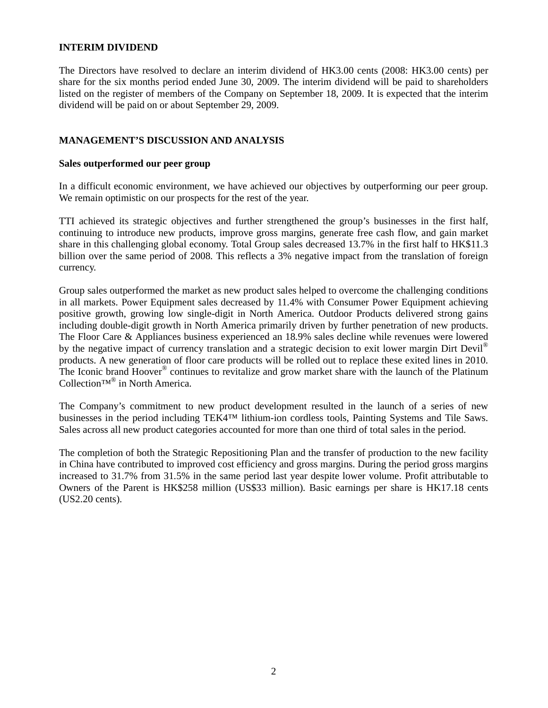## **INTERIM DIVIDEND**

The Directors have resolved to declare an interim dividend of HK3.00 cents (2008: HK3.00 cents) per share for the six months period ended June 30, 2009. The interim dividend will be paid to shareholders listed on the register of members of the Company on September 18, 2009. It is expected that the interim dividend will be paid on or about September 29, 2009.

# **MANAGEMENT'S DISCUSSION AND ANALYSIS**

## **Sales outperformed our peer group**

In a difficult economic environment, we have achieved our objectives by outperforming our peer group. We remain optimistic on our prospects for the rest of the year.

TTI achieved its strategic objectives and further strengthened the group's businesses in the first half, continuing to introduce new products, improve gross margins, generate free cash flow, and gain market share in this challenging global economy. Total Group sales decreased 13.7% in the first half to HK\$11.3 billion over the same period of 2008. This reflects a 3% negative impact from the translation of foreign currency.

Group sales outperformed the market as new product sales helped to overcome the challenging conditions in all markets. Power Equipment sales decreased by 11.4% with Consumer Power Equipment achieving positive growth, growing low single-digit in North America. Outdoor Products delivered strong gains including double-digit growth in North America primarily driven by further penetration of new products. The Floor Care & Appliances business experienced an 18.9% sales decline while revenues were lowered by the negative impact of currency translation and a strategic decision to exit lower margin Dirt Devil<sup>®</sup> products. A new generation of floor care products will be rolled out to replace these exited lines in 2010. The Iconic brand Hoover<sup>®</sup> continues to revitalize and grow market share with the launch of the Platinum Collection™® in North America.

The Company's commitment to new product development resulted in the launch of a series of new businesses in the period including TEK4™ lithium-ion cordless tools, Painting Systems and Tile Saws. Sales across all new product categories accounted for more than one third of total sales in the period.

The completion of both the Strategic Repositioning Plan and the transfer of production to the new facility in China have contributed to improved cost efficiency and gross margins. During the period gross margins increased to 31.7% from 31.5% in the same period last year despite lower volume. Profit attributable to Owners of the Parent is HK\$258 million (US\$33 million). Basic earnings per share is HK17.18 cents (US2.20 cents).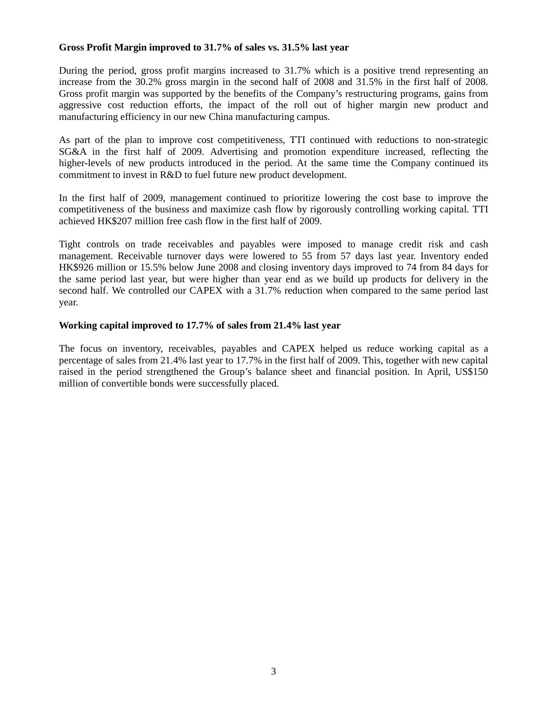## **Gross Profit Margin improved to 31.7% of sales vs. 31.5% last year**

During the period, gross profit margins increased to 31.7% which is a positive trend representing an increase from the 30.2% gross margin in the second half of 2008 and 31.5% in the first half of 2008. Gross profit margin was supported by the benefits of the Company's restructuring programs, gains from aggressive cost reduction efforts, the impact of the roll out of higher margin new product and manufacturing efficiency in our new China manufacturing campus.

As part of the plan to improve cost competitiveness, TTI continued with reductions to non-strategic SG&A in the first half of 2009. Advertising and promotion expenditure increased, reflecting the higher-levels of new products introduced in the period. At the same time the Company continued its commitment to invest in R&D to fuel future new product development.

In the first half of 2009, management continued to prioritize lowering the cost base to improve the competitiveness of the business and maximize cash flow by rigorously controlling working capital. TTI achieved HK\$207 million free cash flow in the first half of 2009.

Tight controls on trade receivables and payables were imposed to manage credit risk and cash management. Receivable turnover days were lowered to 55 from 57 days last year. Inventory ended HK\$926 million or 15.5% below June 2008 and closing inventory days improved to 74 from 84 days for the same period last year, but were higher than year end as we build up products for delivery in the second half. We controlled our CAPEX with a 31.7% reduction when compared to the same period last year.

## **Working capital improved to 17.7% of sales from 21.4% last year**

The focus on inventory, receivables, payables and CAPEX helped us reduce working capital as a percentage of sales from 21.4% last year to 17.7% in the first half of 2009. This, together with new capital raised in the period strengthened the Group's balance sheet and financial position. In April, US\$150 million of convertible bonds were successfully placed.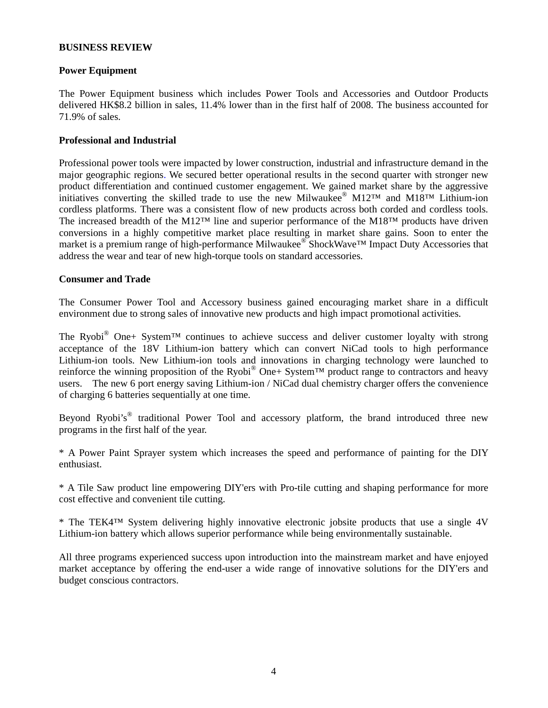## **BUSINESS REVIEW**

## **Power Equipment**

The Power Equipment business which includes Power Tools and Accessories and Outdoor Products delivered HK\$8.2 billion in sales, 11.4% lower than in the first half of 2008. The business accounted for 71.9% of sales.

## **Professional and Industrial**

Professional power tools were impacted by lower construction, industrial and infrastructure demand in the major geographic regions. We secured better operational results in the second quarter with stronger new product differentiation and continued customer engagement. We gained market share by the aggressive initiatives converting the skilled trade to use the new Milwaukee®  $M12^{TM}$  and  $M18^{TM}$  Lithium-ion cordless platforms. There was a consistent flow of new products across both corded and cordless tools. The increased breadth of the M12™ line and superior performance of the M18™ products have driven conversions in a highly competitive market place resulting in market share gains. Soon to enter the market is a premium range of high-performance Milwaukee® ShockWave™ Impact Duty Accessories that address the wear and tear of new high-torque tools on standard accessories.

## **Consumer and Trade**

The Consumer Power Tool and Accessory business gained encouraging market share in a difficult environment due to strong sales of innovative new products and high impact promotional activities.

The Ryobi<sup>®</sup> One+ System<sup>TM</sup> continues to achieve success and deliver customer loyalty with strong acceptance of the 18V Lithium-ion battery which can convert NiCad tools to high performance Lithium-ion tools. New Lithium-ion tools and innovations in charging technology were launched to reinforce the winning proposition of the Ryobi® One+ System<sup>TM</sup> product range to contractors and heavy users. The new 6 port energy saving Lithium-ion / NiCad dual chemistry charger offers the convenience of charging 6 batteries sequentially at one time.

Beyond Ryobi's<sup>®</sup> traditional Power Tool and accessory platform, the brand introduced three new programs in the first half of the year.

\* A Power Paint Sprayer system which increases the speed and performance of painting for the DIY enthusiast.

\* A Tile Saw product line empowering DIY'ers with Pro-tile cutting and shaping performance for more cost effective and convenient tile cutting.

\* The TEK4™ System delivering highly innovative electronic jobsite products that use a single 4V Lithium-ion battery which allows superior performance while being environmentally sustainable.

All three programs experienced success upon introduction into the mainstream market and have enjoyed market acceptance by offering the end-user a wide range of innovative solutions for the DIY'ers and budget conscious contractors.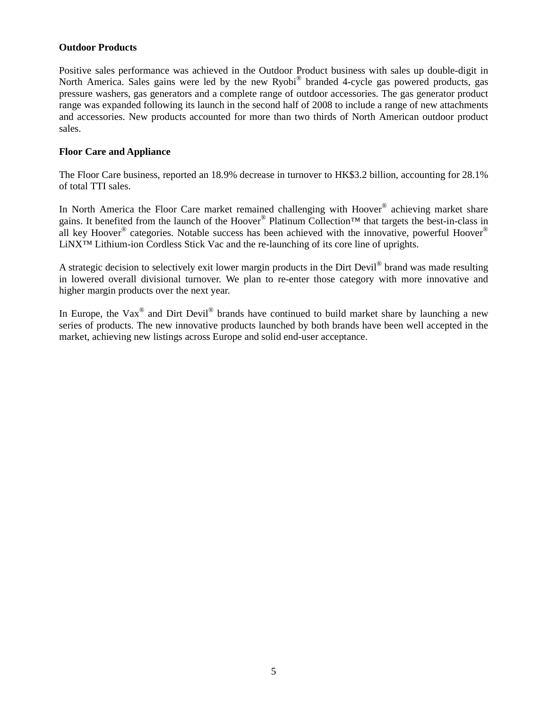## **Outdoor Products**

Positive sales performance was achieved in the Outdoor Product business with sales up double-digit in North America. Sales gains were led by the new Ryobi® branded 4-cycle gas powered products, gas pressure washers, gas generators and a complete range of outdoor accessories. The gas generator product range was expanded following its launch in the second half of 2008 to include a range of new attachments and accessories. New products accounted for more than two thirds of North American outdoor product sales.

# **Floor Care and Appliance**

The Floor Care business, reported an 18.9% decrease in turnover to HK\$3.2 billion, accounting for 28.1% of total TTI sales.

In North America the Floor Care market remained challenging with Hoover<sup>®</sup> achieving market share gains. It benefited from the launch of the Hoover<sup>®</sup> Platinum Collection<sup>™</sup> that targets the best-in-class in all key Hoover<sup>®</sup> categories. Notable success has been achieved with the innovative, powerful Hoover<sup>®</sup> LiNX™ Lithium-ion Cordless Stick Vac and the re-launching of its core line of uprights.

A strategic decision to selectively exit lower margin products in the Dirt Devil<sup>®</sup> brand was made resulting in lowered overall divisional turnover. We plan to re-enter those category with more innovative and higher margin products over the next year.

In Europe, the Vax<sup>®</sup> and Dirt Devil<sup>®</sup> brands have continued to build market share by launching a new series of products. The new innovative products launched by both brands have been well accepted in the market, achieving new listings across Europe and solid end-user acceptance.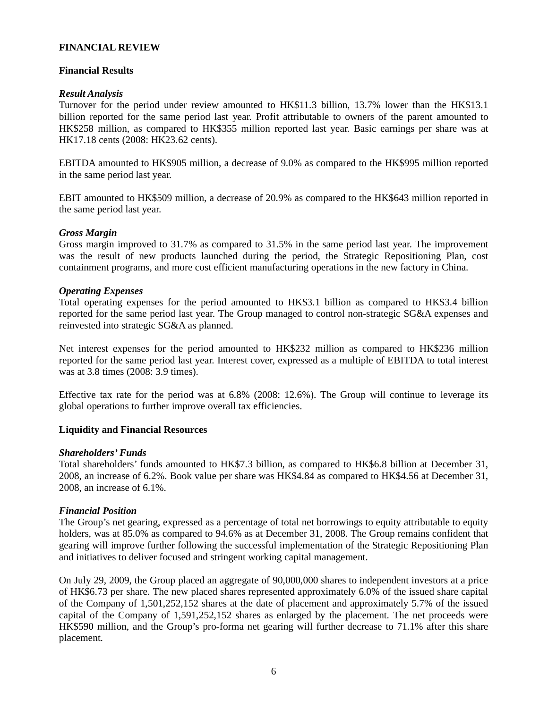## **FINANCIAL REVIEW**

# **Financial Results**

# *Result Analysis*

Turnover for the period under review amounted to HK\$11.3 billion, 13.7% lower than the HK\$13.1 billion reported for the same period last year. Profit attributable to owners of the parent amounted to HK\$258 million, as compared to HK\$355 million reported last year. Basic earnings per share was at HK17.18 cents (2008: HK23.62 cents).

EBITDA amounted to HK\$905 million, a decrease of 9.0% as compared to the HK\$995 million reported in the same period last year.

EBIT amounted to HK\$509 million, a decrease of 20.9% as compared to the HK\$643 million reported in the same period last year.

# *Gross Margin*

Gross margin improved to 31.7% as compared to 31.5% in the same period last year. The improvement was the result of new products launched during the period, the Strategic Repositioning Plan, cost containment programs, and more cost efficient manufacturing operations in the new factory in China.

# *Operating Expenses*

Total operating expenses for the period amounted to HK\$3.1 billion as compared to HK\$3.4 billion reported for the same period last year. The Group managed to control non-strategic SG&A expenses and reinvested into strategic SG&A as planned.

Net interest expenses for the period amounted to HK\$232 million as compared to HK\$236 million reported for the same period last year. Interest cover, expressed as a multiple of EBITDA to total interest was at 3.8 times (2008: 3.9 times).

Effective tax rate for the period was at 6.8% (2008: 12.6%). The Group will continue to leverage its global operations to further improve overall tax efficiencies.

# **Liquidity and Financial Resources**

## *Shareholders' Funds*

Total shareholders' funds amounted to HK\$7.3 billion, as compared to HK\$6.8 billion at December 31, 2008, an increase of 6.2%. Book value per share was HK\$4.84 as compared to HK\$4.56 at December 31, 2008, an increase of 6.1%.

# *Financial Position*

The Group's net gearing, expressed as a percentage of total net borrowings to equity attributable to equity holders, was at 85.0% as compared to 94.6% as at December 31, 2008. The Group remains confident that gearing will improve further following the successful implementation of the Strategic Repositioning Plan and initiatives to deliver focused and stringent working capital management.

On July 29, 2009, the Group placed an aggregate of 90,000,000 shares to independent investors at a price of HK\$6.73 per share. The new placed shares represented approximately 6.0% of the issued share capital of the Company of 1,501,252,152 shares at the date of placement and approximately 5.7% of the issued capital of the Company of 1,591,252,152 shares as enlarged by the placement. The net proceeds were HK\$590 million, and the Group's pro-forma net gearing will further decrease to 71.1% after this share placement.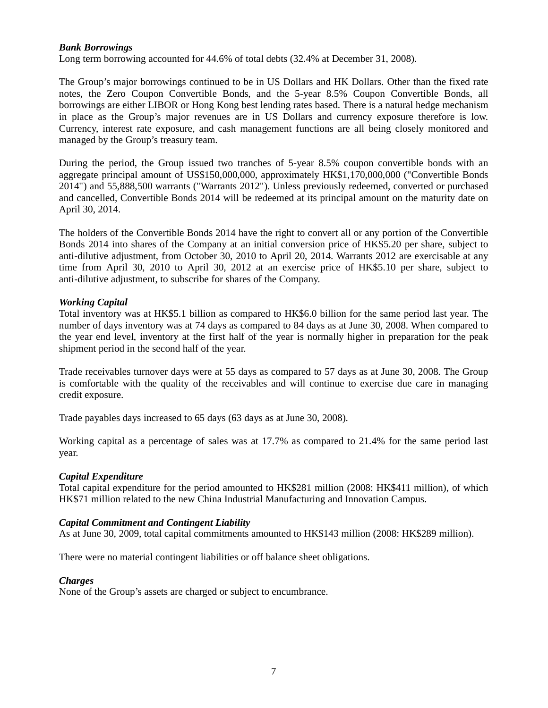# *Bank Borrowings*

Long term borrowing accounted for 44.6% of total debts (32.4% at December 31, 2008).

The Group's major borrowings continued to be in US Dollars and HK Dollars. Other than the fixed rate notes, the Zero Coupon Convertible Bonds, and the 5-year 8.5% Coupon Convertible Bonds, all borrowings are either LIBOR or Hong Kong best lending rates based. There is a natural hedge mechanism in place as the Group's major revenues are in US Dollars and currency exposure therefore is low. Currency, interest rate exposure, and cash management functions are all being closely monitored and managed by the Group's treasury team.

During the period, the Group issued two tranches of 5-year 8.5% coupon convertible bonds with an aggregate principal amount of US\$150,000,000, approximately HK\$1,170,000,000 ("Convertible Bonds 2014") and 55,888,500 warrants ("Warrants 2012"). Unless previously redeemed, converted or purchased and cancelled, Convertible Bonds 2014 will be redeemed at its principal amount on the maturity date on April 30, 2014.

The holders of the Convertible Bonds 2014 have the right to convert all or any portion of the Convertible Bonds 2014 into shares of the Company at an initial conversion price of HK\$5.20 per share, subject to anti-dilutive adjustment, from October 30, 2010 to April 20, 2014. Warrants 2012 are exercisable at any time from April 30, 2010 to April 30, 2012 at an exercise price of HK\$5.10 per share, subject to anti-dilutive adjustment, to subscribe for shares of the Company.

# *Working Capital*

Total inventory was at HK\$5.1 billion as compared to HK\$6.0 billion for the same period last year. The number of days inventory was at 74 days as compared to 84 days as at June 30, 2008. When compared to the year end level, inventory at the first half of the year is normally higher in preparation for the peak shipment period in the second half of the year.

Trade receivables turnover days were at 55 days as compared to 57 days as at June 30, 2008. The Group is comfortable with the quality of the receivables and will continue to exercise due care in managing credit exposure.

Trade payables days increased to 65 days (63 days as at June 30, 2008).

Working capital as a percentage of sales was at 17.7% as compared to 21.4% for the same period last year.

## *Capital Expenditure*

Total capital expenditure for the period amounted to HK\$281 million (2008: HK\$411 million), of which HK\$71 million related to the new China Industrial Manufacturing and Innovation Campus.

## *Capital Commitment and Contingent Liability*

As at June 30, 2009, total capital commitments amounted to HK\$143 million (2008: HK\$289 million).

There were no material contingent liabilities or off balance sheet obligations.

## *Charges*

None of the Group's assets are charged or subject to encumbrance.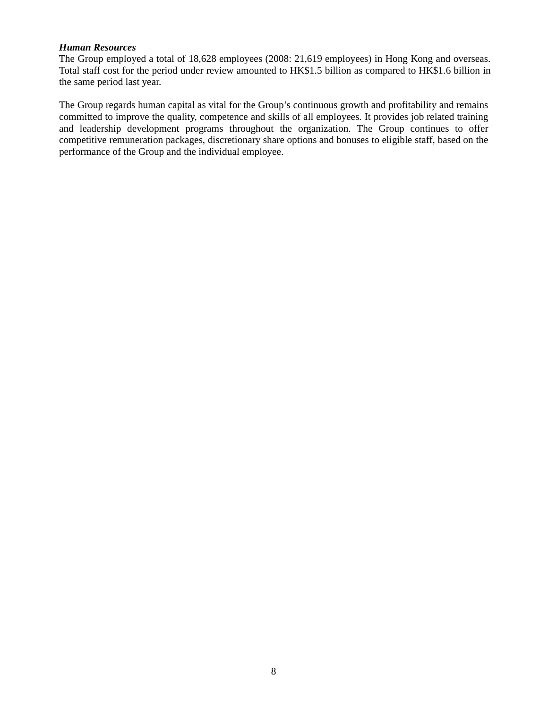## *Human Resources*

The Group employed a total of 18,628 employees (2008: 21,619 employees) in Hong Kong and overseas. Total staff cost for the period under review amounted to HK\$1.5 billion as compared to HK\$1.6 billion in the same period last year.

The Group regards human capital as vital for the Group's continuous growth and profitability and remains committed to improve the quality, competence and skills of all employees. It provides job related training and leadership development programs throughout the organization. The Group continues to offer competitive remuneration packages, discretionary share options and bonuses to eligible staff, based on the performance of the Group and the individual employee.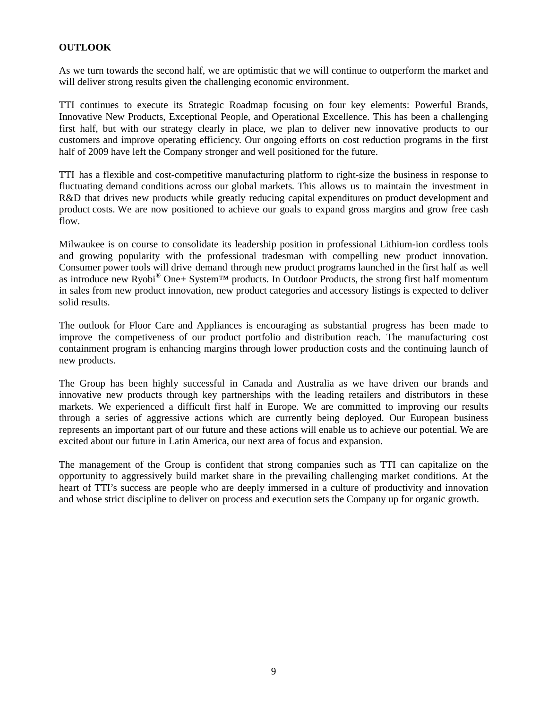# **OUTLOOK**

As we turn towards the second half, we are optimistic that we will continue to outperform the market and will deliver strong results given the challenging economic environment.

TTI continues to execute its Strategic Roadmap focusing on four key elements: Powerful Brands, Innovative New Products, Exceptional People, and Operational Excellence. This has been a challenging first half, but with our strategy clearly in place, we plan to deliver new innovative products to our customers and improve operating efficiency. Our ongoing efforts on cost reduction programs in the first half of 2009 have left the Company stronger and well positioned for the future.

TTI has a flexible and cost-competitive manufacturing platform to right-size the business in response to fluctuating demand conditions across our global markets. This allows us to maintain the investment in R&D that drives new products while greatly reducing capital expenditures on product development and product costs. We are now positioned to achieve our goals to expand gross margins and grow free cash flow.

Milwaukee is on course to consolidate its leadership position in professional Lithium-ion cordless tools and growing popularity with the professional tradesman with compelling new product innovation. Consumer power tools will drive demand through new product programs launched in the first half as well as introduce new Ryobi® One+ System™ products. In Outdoor Products, the strong first half momentum in sales from new product innovation, new product categories and accessory listings is expected to deliver solid results.

The outlook for Floor Care and Appliances is encouraging as substantial progress has been made to improve the competiveness of our product portfolio and distribution reach. The manufacturing cost containment program is enhancing margins through lower production costs and the continuing launch of new products.

The Group has been highly successful in Canada and Australia as we have driven our brands and innovative new products through key partnerships with the leading retailers and distributors in these markets. We experienced a difficult first half in Europe. We are committed to improving our results through a series of aggressive actions which are currently being deployed. Our European business represents an important part of our future and these actions will enable us to achieve our potential. We are excited about our future in Latin America, our next area of focus and expansion.

The management of the Group is confident that strong companies such as TTI can capitalize on the opportunity to aggressively build market share in the prevailing challenging market conditions. At the heart of TTI's success are people who are deeply immersed in a culture of productivity and innovation and whose strict discipline to deliver on process and execution sets the Company up for organic growth.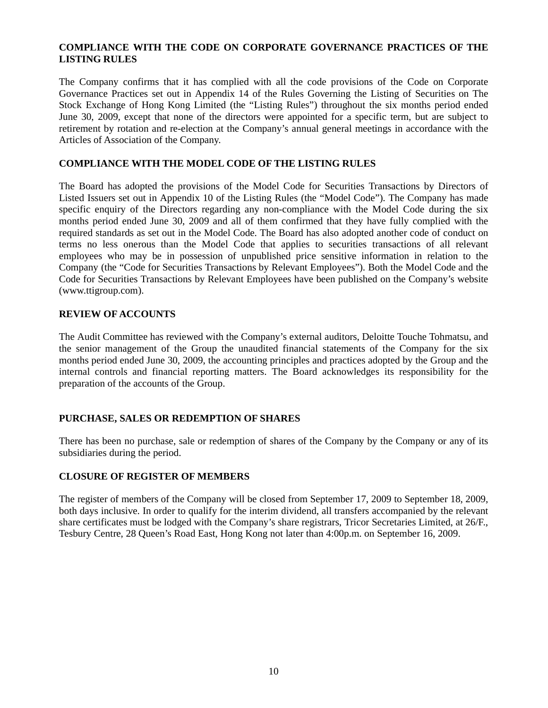# **COMPLIANCE WITH THE CODE ON CORPORATE GOVERNANCE PRACTICES OF THE LISTING RULES**

The Company confirms that it has complied with all the code provisions of the Code on Corporate Governance Practices set out in Appendix 14 of the Rules Governing the Listing of Securities on The Stock Exchange of Hong Kong Limited (the "Listing Rules") throughout the six months period ended June 30, 2009, except that none of the directors were appointed for a specific term, but are subject to retirement by rotation and re-election at the Company's annual general meetings in accordance with the Articles of Association of the Company.

# **COMPLIANCE WITH THE MODEL CODE OF THE LISTING RULES**

The Board has adopted the provisions of the Model Code for Securities Transactions by Directors of Listed Issuers set out in Appendix 10 of the Listing Rules (the "Model Code"). The Company has made specific enquiry of the Directors regarding any non-compliance with the Model Code during the six months period ended June 30, 2009 and all of them confirmed that they have fully complied with the required standards as set out in the Model Code. The Board has also adopted another code of conduct on terms no less onerous than the Model Code that applies to securities transactions of all relevant employees who may be in possession of unpublished price sensitive information in relation to the Company (the "Code for Securities Transactions by Relevant Employees"). Both the Model Code and the Code for Securities Transactions by Relevant Employees have been published on the Company's website (www.ttigroup.com).

# **REVIEW OF ACCOUNTS**

The Audit Committee has reviewed with the Company's external auditors, Deloitte Touche Tohmatsu, and the senior management of the Group the unaudited financial statements of the Company for the six months period ended June 30, 2009, the accounting principles and practices adopted by the Group and the internal controls and financial reporting matters. The Board acknowledges its responsibility for the preparation of the accounts of the Group.

# **PURCHASE, SALES OR REDEMPTION OF SHARES**

There has been no purchase, sale or redemption of shares of the Company by the Company or any of its subsidiaries during the period.

## **CLOSURE OF REGISTER OF MEMBERS**

The register of members of the Company will be closed from September 17, 2009 to September 18, 2009, both days inclusive. In order to qualify for the interim dividend, all transfers accompanied by the relevant share certificates must be lodged with the Company's share registrars, Tricor Secretaries Limited, at 26/F., Tesbury Centre, 28 Queen's Road East, Hong Kong not later than 4:00p.m. on September 16, 2009.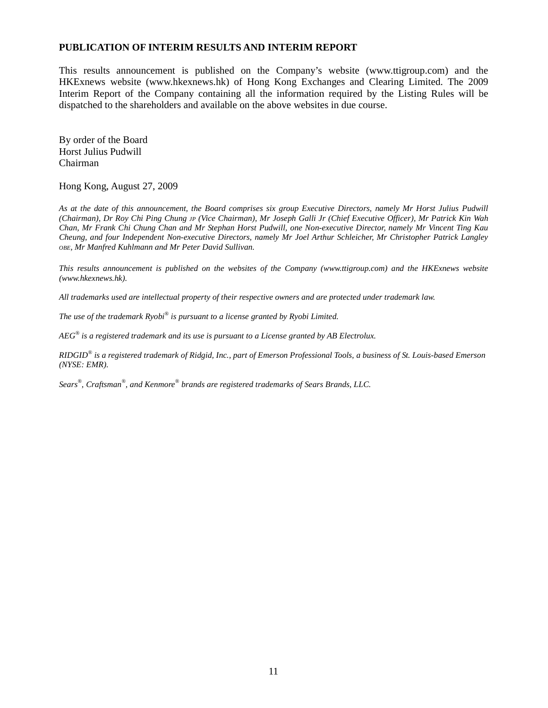## **PUBLICATION OF INTERIM RESULTS AND INTERIM REPORT**

This results announcement is published on the Company's website (www.ttigroup.com) and the HKExnews website (www.hkexnews.hk) of Hong Kong Exchanges and Clearing Limited. The 2009 Interim Report of the Company containing all the information required by the Listing Rules will be dispatched to the shareholders and available on the above websites in due course.

By order of the Board Horst Julius Pudwill Chairman

#### Hong Kong, August 27, 2009

*As at the date of this announcement, the Board comprises six group Executive Directors, namely Mr Horst Julius Pudwill (Chairman), Dr Roy Chi Ping Chung JP (Vice Chairman), Mr Joseph Galli Jr (Chief Executive Officer), Mr Patrick Kin Wah Chan, Mr Frank Chi Chung Chan and Mr Stephan Horst Pudwill, one Non-executive Director, namely Mr Vincent Ting Kau Cheung, and four Independent Non-executive Directors, namely Mr Joel Arthur Schleicher, Mr Christopher Patrick Langley OBE, Mr Manfred Kuhlmann and Mr Peter David Sullivan.* 

*This results announcement is published on the websites of the Company (www.ttigroup.com) and the HKExnews website (www.hkexnews.hk).* 

*All trademarks used are intellectual property of their respective owners and are protected under trademark law.* 

*The use of the trademark Ryobi® is pursuant to a license granted by Ryobi Limited.*

*AEG® is a registered trademark and its use is pursuant to a License granted by AB Electrolux.* 

*RIDGID® is a registered trademark of Ridgid, Inc., part of Emerson Professional Tools, a business of St. Louis-based Emerson (NYSE: EMR).* 

*Sears® , Craftsman® , and Kenmore® brands are registered trademarks of Sears Brands, LLC.*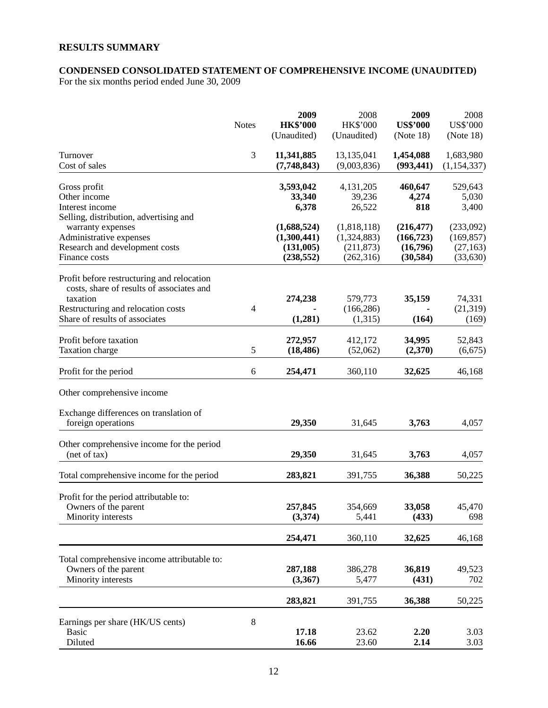# **RESULTS SUMMARY**

## **CONDENSED CONSOLIDATED STATEMENT OF COMPREHENSIVE INCOME (UNAUDITED)**

For the six months period ended June 30, 2009

|                                                                                                                                                                             | <b>Notes</b> | 2009<br><b>HK\$'000</b><br>(Unaudited)                | 2008<br><b>HK\$'000</b><br>(Unaudited)                 | 2009<br><b>US\$'000</b><br>(Note 18)              | 2008<br><b>US\$'000</b><br>(Note 18)             |
|-----------------------------------------------------------------------------------------------------------------------------------------------------------------------------|--------------|-------------------------------------------------------|--------------------------------------------------------|---------------------------------------------------|--------------------------------------------------|
| Turnover<br>Cost of sales                                                                                                                                                   | 3            | 11,341,885<br>(7,748,843)                             | 13,135,041<br>(9,003,836)                              | 1,454,088<br>(993, 441)                           | 1,683,980<br>(1,154,337)                         |
| Gross profit<br>Other income<br>Interest income<br>Selling, distribution, advertising and                                                                                   |              | 3,593,042<br>33,340<br>6,378                          | 4,131,205<br>39,236<br>26,522                          | 460,647<br>4,274<br>818                           | 529,643<br>5,030<br>3,400                        |
| warranty expenses<br>Administrative expenses<br>Research and development costs<br>Finance costs                                                                             |              | (1,688,524)<br>(1,300,441)<br>(131,005)<br>(238, 552) | (1,818,118)<br>(1,324,883)<br>(211, 873)<br>(262, 316) | (216, 477)<br>(166, 723)<br>(16,796)<br>(30, 584) | (233,092)<br>(169, 857)<br>(27, 163)<br>(33,630) |
| Profit before restructuring and relocation<br>costs, share of results of associates and<br>taxation<br>Restructuring and relocation costs<br>Share of results of associates | 4            | 274,238<br>(1,281)                                    | 579,773<br>(166, 286)<br>(1,315)                       | 35,159<br>(164)                                   | 74,331<br>(21,319)<br>(169)                      |
| Profit before taxation<br>Taxation charge                                                                                                                                   | 5            | 272,957<br>(18, 486)                                  | 412,172<br>(52,062)                                    | 34,995<br>(2,370)                                 | 52,843<br>(6,675)                                |
| Profit for the period                                                                                                                                                       | 6            | 254,471                                               | 360,110                                                | 32,625                                            | 46,168                                           |
| Other comprehensive income                                                                                                                                                  |              |                                                       |                                                        |                                                   |                                                  |
| Exchange differences on translation of<br>foreign operations                                                                                                                |              | 29,350                                                | 31,645                                                 | 3,763                                             | 4,057                                            |
| Other comprehensive income for the period<br>(net of tax)                                                                                                                   |              | 29,350                                                | 31,645                                                 | 3,763                                             | 4,057                                            |
| Total comprehensive income for the period                                                                                                                                   |              | 283,821                                               | 391,755                                                | 36,388                                            | 50,225                                           |
| Profit for the period attributable to:<br>Owners of the parent<br>Minority interests                                                                                        |              | 257,845<br>(3,374)                                    | 354,669<br>5,441                                       | 33,058<br>(433)                                   | 45,470<br>698                                    |
|                                                                                                                                                                             |              | 254,471                                               | 360,110                                                | 32,625                                            | 46,168                                           |
| Total comprehensive income attributable to:<br>Owners of the parent<br>Minority interests                                                                                   |              | 287,188<br>(3,367)                                    | 386,278<br>5,477                                       | 36,819<br>(431)                                   | 49,523<br>702                                    |
|                                                                                                                                                                             |              | 283,821                                               | 391,755                                                | 36,388                                            | 50,225                                           |
| Earnings per share (HK/US cents)<br><b>Basic</b><br>Diluted                                                                                                                 | 8            | 17.18<br>16.66                                        | 23.62<br>23.60                                         | 2.20<br>2.14                                      | 3.03<br>3.03                                     |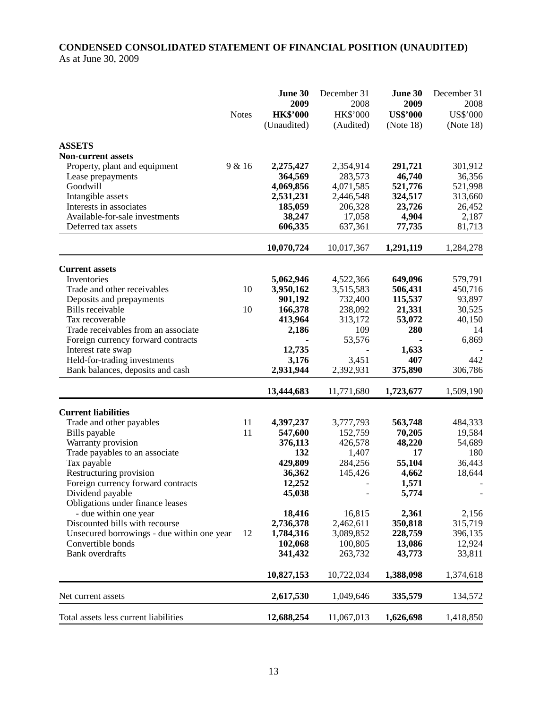# **CONDENSED CONSOLIDATED STATEMENT OF FINANCIAL POSITION (UNAUDITED)**  As at June 30, 2009

|                                            |              | June 30         | December 31 | June 30         | December 31     |
|--------------------------------------------|--------------|-----------------|-------------|-----------------|-----------------|
|                                            |              | 2009            | 2008        | 2009            | 2008            |
|                                            | <b>Notes</b> | <b>HK\$'000</b> | HK\$'000    | <b>US\$'000</b> | <b>US\$'000</b> |
|                                            |              | (Unaudited)     | (Audited)   | (Note 18)       | (Note 18)       |
| <b>ASSETS</b>                              |              |                 |             |                 |                 |
| <b>Non-current assets</b>                  |              |                 |             |                 |                 |
| Property, plant and equipment              | 9 & 16       | 2,275,427       | 2,354,914   | 291,721         | 301,912         |
| Lease prepayments                          |              | 364,569         | 283,573     | 46,740          | 36,356          |
| Goodwill                                   |              | 4,069,856       | 4,071,585   | 521,776         | 521,998         |
| Intangible assets                          |              | 2,531,231       | 2,446,548   | 324,517         | 313,660         |
| Interests in associates                    |              | 185,059         | 206,328     | 23,726          | 26,452          |
| Available-for-sale investments             |              | 38,247          | 17,058      | 4,904           | 2,187           |
| Deferred tax assets                        |              | 606,335         | 637,361     | 77,735          | 81,713          |
|                                            |              | 10,070,724      | 10,017,367  | 1,291,119       | 1,284,278       |
| <b>Current assets</b>                      |              |                 |             |                 |                 |
| Inventories                                |              | 5,062,946       | 4,522,366   | 649,096         | 579,791         |
| Trade and other receivables                | 10           | 3,950,162       | 3,515,583   | 506,431         | 450,716         |
| Deposits and prepayments                   |              | 901,192         | 732,400     | 115,537         | 93,897          |
| Bills receivable                           | 10           | 166,378         | 238,092     | 21,331          | 30,525          |
| Tax recoverable                            |              | 413,964         | 313,172     | 53,072          | 40,150          |
| Trade receivables from an associate        |              | 2,186           | 109         | 280             | 14              |
| Foreign currency forward contracts         |              |                 | 53,576      |                 | 6,869           |
| Interest rate swap                         |              | 12,735          |             | 1,633           |                 |
| Held-for-trading investments               |              | 3,176           | 3,451       | 407             | 442             |
| Bank balances, deposits and cash           |              | 2,931,944       | 2,392,931   | 375,890         | 306,786         |
|                                            |              | 13,444,683      | 11,771,680  | 1,723,677       | 1,509,190       |
| <b>Current liabilities</b>                 |              |                 |             |                 |                 |
| Trade and other payables                   | 11           | 4,397,237       | 3,777,793   | 563,748         | 484,333         |
| Bills payable                              | 11           | 547,600         | 152,759     | 70,205          | 19,584          |
| Warranty provision                         |              | 376,113         | 426,578     | 48,220          | 54,689          |
| Trade payables to an associate             |              | 132             | 1,407       | 17              | 180             |
| Tax payable                                |              | 429,809         | 284,256     | 55,104          | 36,443          |
| Restructuring provision                    |              | 36,362          | 145,426     | 4,662           | 18,644          |
| Foreign currency forward contracts         |              | 12,252          |             | 1,571           |                 |
| Dividend payable                           |              | 45,038          |             | 5,774           |                 |
| Obligations under finance leases           |              |                 |             |                 |                 |
| - due within one year                      |              | 18,416          | 16,815      | 2,361           | 2,156           |
| Discounted bills with recourse             |              | 2,736,378       | 2,462,611   | 350,818         | 315,719         |
| Unsecured borrowings - due within one year | 12           | 1,784,316       | 3,089,852   | 228,759         | 396,135         |
| Convertible bonds                          |              | 102,068         | 100,805     | 13,086          | 12,924          |
| <b>Bank</b> overdrafts                     |              | 341,432         | 263,732     | 43,773          | 33,811          |
|                                            |              | 10,827,153      | 10,722,034  | 1,388,098       | 1,374,618       |
| Net current assets                         |              | 2,617,530       | 1,049,646   | 335,579         | 134,572         |
| Total assets less current liabilities      |              | 12,688,254      | 11,067,013  | 1,626,698       | 1,418,850       |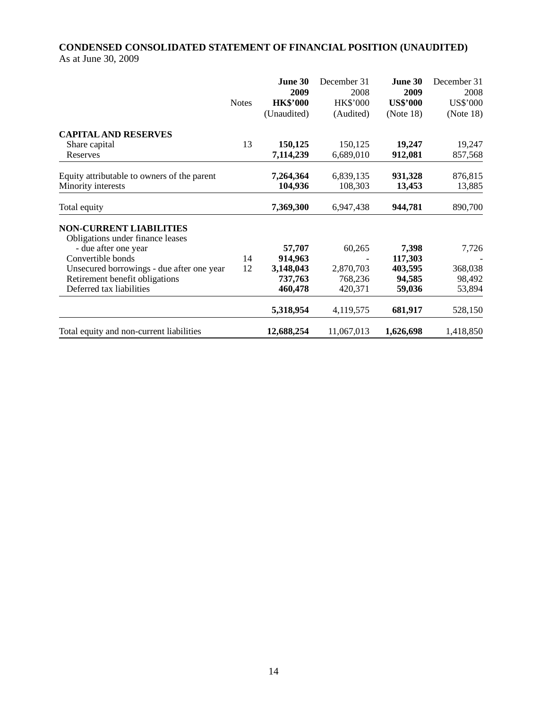# **CONDENSED CONSOLIDATED STATEMENT OF FINANCIAL POSITION (UNAUDITED)**  As at June 30, 2009

|                                                                                                                                                                                                                            | <b>Notes</b> | June 30<br>2009<br><b>HK\$'000</b><br>(Unaudited)    | December 31<br>2008<br><b>HK\$'000</b><br>(Audited) | June 30<br>2009<br><b>US\$'000</b><br>(Note 18) | December 31<br>2008<br><b>US\$'000</b><br>(Note 18) |
|----------------------------------------------------------------------------------------------------------------------------------------------------------------------------------------------------------------------------|--------------|------------------------------------------------------|-----------------------------------------------------|-------------------------------------------------|-----------------------------------------------------|
| <b>CAPITAL AND RESERVES</b><br>Share capital<br>Reserves                                                                                                                                                                   | 13           | 150,125<br>7,114,239                                 | 150,125<br>6,689,010                                | 19,247<br>912,081                               | 19,247<br>857,568                                   |
| Equity attributable to owners of the parent<br>Minority interests                                                                                                                                                          |              | 7,264,364<br>104,936                                 | 6,839,135<br>108,303                                | 931,328<br>13,453                               | 876,815<br>13,885                                   |
| Total equity                                                                                                                                                                                                               |              | 7,369,300                                            | 6,947,438                                           | 944,781                                         | 890,700                                             |
| <b>NON-CURRENT LIABILITIES</b><br>Obligations under finance leases<br>- due after one year<br>Convertible bonds<br>Unsecured borrowings - due after one year<br>Retirement benefit obligations<br>Deferred tax liabilities | 14<br>12     | 57,707<br>914,963<br>3,148,043<br>737,763<br>460,478 | 60,265<br>2,870,703<br>768,236<br>420,371           | 7,398<br>117,303<br>403,595<br>94,585<br>59,036 | 7,726<br>368,038<br>98,492<br>53,894                |
|                                                                                                                                                                                                                            |              | 5,318,954                                            | 4,119,575                                           | 681,917                                         | 528,150                                             |
| Total equity and non-current liabilities                                                                                                                                                                                   |              | 12,688,254                                           | 11,067,013                                          | 1,626,698                                       | 1,418,850                                           |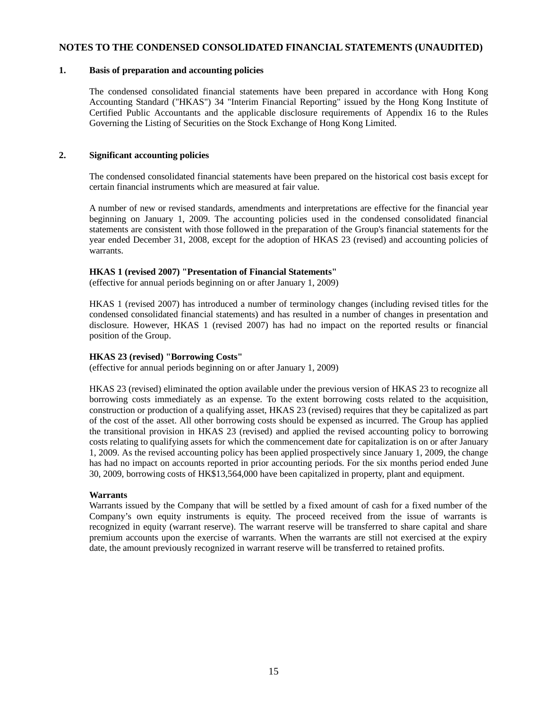#### **NOTES TO THE CONDENSED CONSOLIDATED FINANCIAL STATEMENTS (UNAUDITED)**

#### **1. Basis of preparation and accounting policies**

The condensed consolidated financial statements have been prepared in accordance with Hong Kong Accounting Standard ("HKAS") 34 "Interim Financial Reporting" issued by the Hong Kong Institute of Certified Public Accountants and the applicable disclosure requirements of Appendix 16 to the Rules Governing the Listing of Securities on the Stock Exchange of Hong Kong Limited.

#### **2. Significant accounting policies**

The condensed consolidated financial statements have been prepared on the historical cost basis except for certain financial instruments which are measured at fair value.

A number of new or revised standards, amendments and interpretations are effective for the financial year beginning on January 1, 2009. The accounting policies used in the condensed consolidated financial statements are consistent with those followed in the preparation of the Group's financial statements for the year ended December 31, 2008, except for the adoption of HKAS 23 (revised) and accounting policies of warrants.

#### **HKAS 1 (revised 2007) "Presentation of Financial Statements"**

(effective for annual periods beginning on or after January 1, 2009)

HKAS 1 (revised 2007) has introduced a number of terminology changes (including revised titles for the condensed consolidated financial statements) and has resulted in a number of changes in presentation and disclosure. However, HKAS 1 (revised 2007) has had no impact on the reported results or financial position of the Group.

#### **HKAS 23 (revised) "Borrowing Costs"**

(effective for annual periods beginning on or after January 1, 2009)

HKAS 23 (revised) eliminated the option available under the previous version of HKAS 23 to recognize all borrowing costs immediately as an expense. To the extent borrowing costs related to the acquisition, construction or production of a qualifying asset, HKAS 23 (revised) requires that they be capitalized as part of the cost of the asset. All other borrowing costs should be expensed as incurred. The Group has applied the transitional provision in HKAS 23 (revised) and applied the revised accounting policy to borrowing costs relating to qualifying assets for which the commencement date for capitalization is on or after January 1, 2009. As the revised accounting policy has been applied prospectively since January 1, 2009, the change has had no impact on accounts reported in prior accounting periods. For the six months period ended June 30, 2009, borrowing costs of HK\$13,564,000 have been capitalized in property, plant and equipment.

#### **Warrants**

Warrants issued by the Company that will be settled by a fixed amount of cash for a fixed number of the Company's own equity instruments is equity. The proceed received from the issue of warrants is recognized in equity (warrant reserve). The warrant reserve will be transferred to share capital and share premium accounts upon the exercise of warrants. When the warrants are still not exercised at the expiry date, the amount previously recognized in warrant reserve will be transferred to retained profits.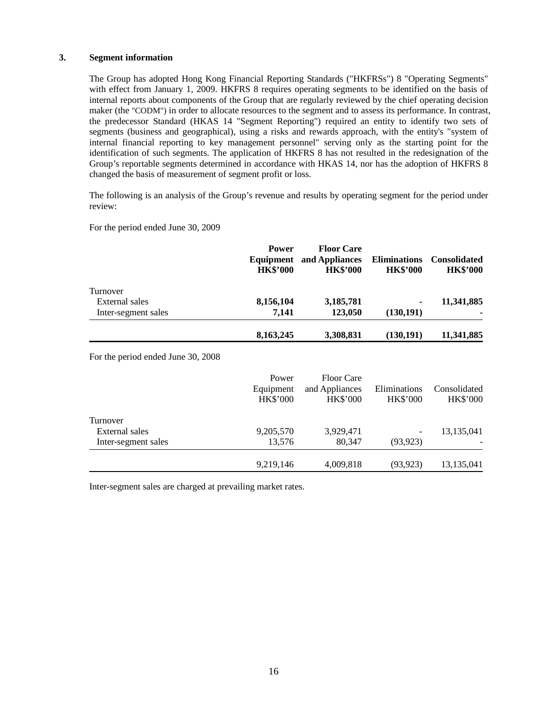#### **3. Segment information**

The Group has adopted Hong Kong Financial Reporting Standards ("HKFRSs") 8 "Operating Segments" with effect from January 1, 2009. HKFRS 8 requires operating segments to be identified on the basis of internal reports about components of the Group that are regularly reviewed by the chief operating decision maker (the "CODM") in order to allocate resources to the segment and to assess its performance. In contrast, the predecessor Standard (HKAS 14 "Segment Reporting") required an entity to identify two sets of segments (business and geographical), using a risks and rewards approach, with the entity's "system of internal financial reporting to key management personnel" serving only as the starting point for the identification of such segments. The application of HKFRS 8 has not resulted in the redesignation of the Group's reportable segments determined in accordance with HKAS 14, nor has the adoption of HKFRS 8 changed the basis of measurement of segment profit or loss.

The following is an analysis of the Group's revenue and results by operating segment for the period under review:

For the period ended June 30, 2009

|                     | <b>Power</b><br>Equipment<br><b>HK\$'000</b> | <b>Floor Care</b><br>and Appliances<br><b>HK\$'000</b> | <b>Eliminations</b><br><b>HK\$'000</b> | <b>Consolidated</b><br><b>HK\$'000</b> |
|---------------------|----------------------------------------------|--------------------------------------------------------|----------------------------------------|----------------------------------------|
| Turnover            |                                              |                                                        |                                        |                                        |
| External sales      | 8,156,104                                    | 3,185,781                                              | ٠                                      | 11,341,885                             |
| Inter-segment sales | 7.141                                        | 123,050                                                | (130, 191)                             |                                        |
|                     | 8,163,245                                    | 3,308,831                                              | (130, 191)                             | 11,341,885                             |

For the period ended June 30, 2008

|                     | Power<br>Equipment<br><b>HK\$'000</b> | Floor Care<br>and Appliances<br><b>HK\$'000</b> | Eliminations<br><b>HK\$'000</b> | Consolidated<br><b>HK\$'000</b> |
|---------------------|---------------------------------------|-------------------------------------------------|---------------------------------|---------------------------------|
| Turnover            |                                       |                                                 |                                 |                                 |
| External sales      | 9,205,570                             | 3,929,471                                       |                                 | 13,135,041                      |
| Inter-segment sales | 13,576                                | 80.347                                          | (93, 923)                       |                                 |
|                     | 9,219,146                             | 4,009,818                                       | (93, 923)                       | 13,135,041                      |

Inter-segment sales are charged at prevailing market rates.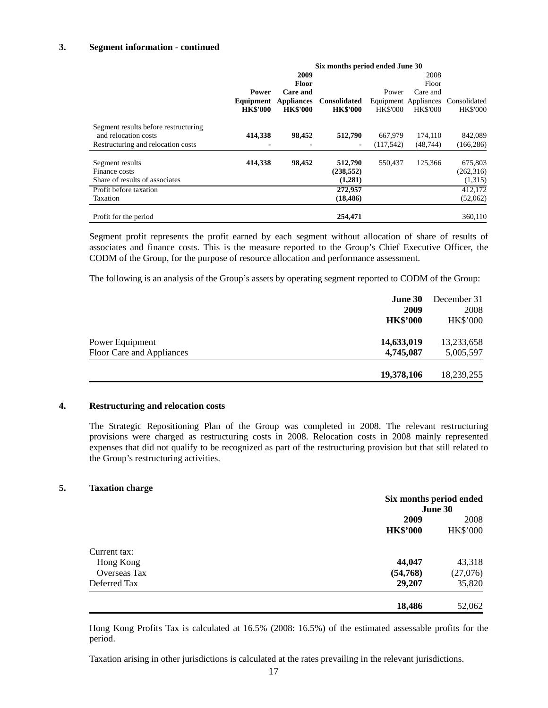#### **3. Segment information - continued**

|                                                                    | Six months period ended June 30 |                   |                                  |                 |                      |                                  |
|--------------------------------------------------------------------|---------------------------------|-------------------|----------------------------------|-----------------|----------------------|----------------------------------|
|                                                                    |                                 | 2009              |                                  |                 | 2008                 |                                  |
|                                                                    |                                 | <b>Floor</b>      |                                  |                 | Floor                |                                  |
|                                                                    | <b>Power</b>                    | Care and          |                                  | Power           | Care and             |                                  |
|                                                                    | Equipment                       | <b>Appliances</b> | <b>Consolidated</b>              |                 | Equipment Appliances | Consolidated                     |
|                                                                    | <b>HK\$'000</b>                 | <b>HK\$'000</b>   | <b>HK\$'000</b>                  | <b>HK\$'000</b> | <b>HK\$'000</b>      | <b>HK\$'000</b>                  |
| Segment results before restructuring<br>and relocation costs       | 414,338                         | 98,452            | 512,790                          | 667,979         | 174,110              | 842,089                          |
| Restructuring and relocation costs                                 |                                 |                   | ۰                                | (117, 542)      | (48, 744)            | (166, 286)                       |
| Segment results<br>Finance costs<br>Share of results of associates | 414,338                         | 98,452            | 512,790<br>(238, 552)<br>(1,281) | 550,437         | 125,366              | 675,803<br>(262, 316)<br>(1,315) |
| Profit before taxation                                             |                                 |                   | 272,957                          |                 |                      | 412,172                          |
| Taxation                                                           |                                 |                   | (18, 486)                        |                 |                      | (52,062)                         |
| Profit for the period                                              |                                 |                   | 254,471                          |                 |                      | 360,110                          |

Segment profit represents the profit earned by each segment without allocation of share of results of associates and finance costs. This is the measure reported to the Group's Chief Executive Officer, the CODM of the Group, for the purpose of resource allocation and performance assessment.

The following is an analysis of the Group's assets by operating segment reported to CODM of the Group:

|                           | <b>June 30</b><br>2009 | December 31<br>2008 |
|---------------------------|------------------------|---------------------|
|                           | <b>HK\$'000</b>        | <b>HK\$'000</b>     |
| Power Equipment           | 14,633,019             | 13,233,658          |
| Floor Care and Appliances | 4,745,087              | 5,005,597           |
|                           | 19,378,106             | 18,239,255          |

#### **4. Restructuring and relocation costs**

The Strategic Repositioning Plan of the Group was completed in 2008. The relevant restructuring provisions were charged as restructuring costs in 2008. Relocation costs in 2008 mainly represented expenses that did not qualify to be recognized as part of the restructuring provision but that still related to the Group's restructuring activities.

#### **5. Taxation charge**

|                     | Six months period ended |                 |  |  |
|---------------------|-------------------------|-----------------|--|--|
|                     |                         | June 30         |  |  |
|                     | 2009                    | 2008            |  |  |
|                     | <b>HK\$'000</b>         | <b>HK\$'000</b> |  |  |
| Current tax:        |                         |                 |  |  |
| Hong Kong           | 44,047                  | 43,318          |  |  |
| <b>Overseas Tax</b> | (54,768)                | (27,076)        |  |  |
| Deferred Tax        | 29,207                  | 35,820          |  |  |
|                     | 18,486                  | 52,062          |  |  |

Hong Kong Profits Tax is calculated at 16.5% (2008: 16.5%) of the estimated assessable profits for the period.

Taxation arising in other jurisdictions is calculated at the rates prevailing in the relevant jurisdictions.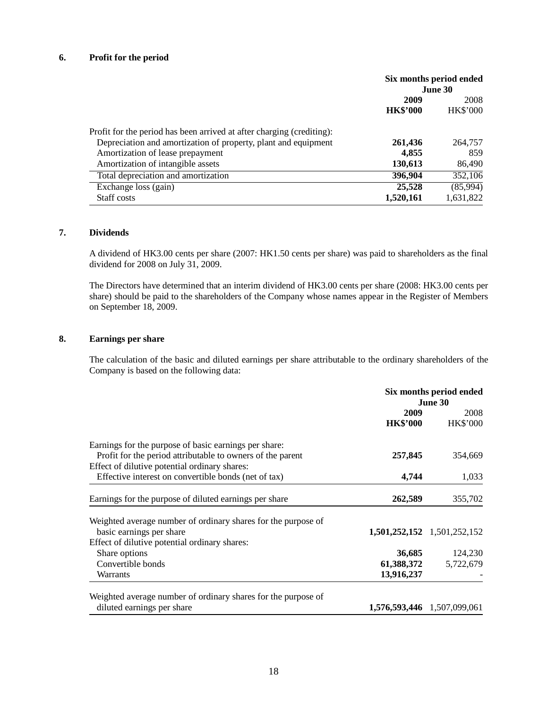#### **6. Profit for the period**

|                                                                       | Six months period ended<br><b>June 30</b> |                 |
|-----------------------------------------------------------------------|-------------------------------------------|-----------------|
|                                                                       | 2009<br>2008                              |                 |
|                                                                       | <b>HK\$'000</b>                           | <b>HK\$'000</b> |
| Profit for the period has been arrived at after charging (crediting): |                                           |                 |
| Depreciation and amortization of property, plant and equipment        | 261,436                                   | 264,757         |
| Amortization of lease prepayment                                      | 4,855                                     | 859             |
| Amortization of intangible assets                                     | 130,613                                   | 86,490          |
| Total depreciation and amortization                                   | 396,904                                   | 352,106         |
| Exchange loss (gain)                                                  | 25,528                                    | (85,994)        |
| Staff costs                                                           | 1,520,161                                 | 1,631,822       |

## **7. Dividends**

A dividend of HK3.00 cents per share (2007: HK1.50 cents per share) was paid to shareholders as the final dividend for 2008 on July 31, 2009.

The Directors have determined that an interim dividend of HK3.00 cents per share (2008: HK3.00 cents per share) should be paid to the shareholders of the Company whose names appear in the Register of Members on September 18, 2009.

#### **8. Earnings per share**

The calculation of the basic and diluted earnings per share attributable to the ordinary shareholders of the Company is based on the following data:

|                                                               |                 | Six months period ended     |
|---------------------------------------------------------------|-----------------|-----------------------------|
|                                                               |                 | June 30                     |
|                                                               | 2009            |                             |
|                                                               | <b>HK\$'000</b> | <b>HK\$'000</b>             |
| Earnings for the purpose of basic earnings per share:         |                 |                             |
| Profit for the period attributable to owners of the parent    | 257,845         | 354,669                     |
| Effect of dilutive potential ordinary shares:                 |                 |                             |
| Effective interest on convertible bonds (net of tax)          | 4,744           | 1,033                       |
|                                                               |                 |                             |
| Earnings for the purpose of diluted earnings per share        | 262,589         | 355,702                     |
| Weighted average number of ordinary shares for the purpose of |                 |                             |
| basic earnings per share                                      |                 | 1,501,252,152 1,501,252,152 |
| Effect of dilutive potential ordinary shares:                 |                 |                             |
|                                                               |                 |                             |
| Share options                                                 | 36,685          | 124,230                     |
| Convertible bonds                                             | 61,388,372      | 5,722,679                   |
| Warrants                                                      | 13,916,237      |                             |
|                                                               |                 |                             |
| Weighted average number of ordinary shares for the purpose of |                 |                             |
| diluted earnings per share                                    |                 | 1,576,593,446 1,507,099,061 |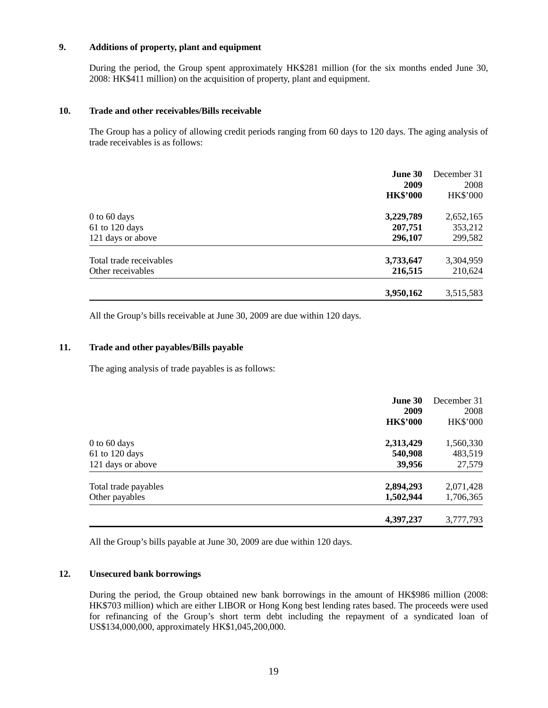## **9. Additions of property, plant and equipment**

During the period, the Group spent approximately HK\$281 million (for the six months ended June 30, 2008: HK\$411 million) on the acquisition of property, plant and equipment.

#### **10. Trade and other receivables/Bills receivable**

The Group has a policy of allowing credit periods ranging from 60 days to 120 days. The aging analysis of trade receivables is as follows:

|                         | June 30<br>2009<br><b>HK\$'000</b> | December 31<br>2008<br><b>HK\$'000</b> |
|-------------------------|------------------------------------|----------------------------------------|
| $0$ to 60 days          | 3,229,789                          | 2,652,165                              |
| $61$ to 120 days        | 207,751                            | 353,212                                |
| 121 days or above       | 296,107                            | 299,582                                |
| Total trade receivables | 3,733,647                          | 3,304,959                              |
| Other receivables       | 216,515                            | 210,624                                |
|                         | 3,950,162                          | 3,515,583                              |

All the Group's bills receivable at June 30, 2009 are due within 120 days.

#### **11. Trade and other payables/Bills payable**

The aging analysis of trade payables is as follows:

|                                        | <b>June 30</b><br>2009<br><b>HK\$'000</b> | December 31<br>2008<br><b>HK\$'000</b> |
|----------------------------------------|-------------------------------------------|----------------------------------------|
| $0$ to 60 days<br>61 to 120 days       | 2,313,429<br>540,908                      | 1,560,330<br>483,519                   |
| 121 days or above                      | 39,956                                    | 27,579                                 |
| Total trade payables<br>Other payables | 2,894,293<br>1,502,944                    | 2,071,428<br>1,706,365                 |
|                                        | 4,397,237                                 | 3,777,793                              |

All the Group's bills payable at June 30, 2009 are due within 120 days.

#### **12. Unsecured bank borrowings**

During the period, the Group obtained new bank borrowings in the amount of HK\$986 million (2008: HK\$703 million) which are either LIBOR or Hong Kong best lending rates based. The proceeds were used for refinancing of the Group's short term debt including the repayment of a syndicated loan of US\$134,000,000, approximately HK\$1,045,200,000.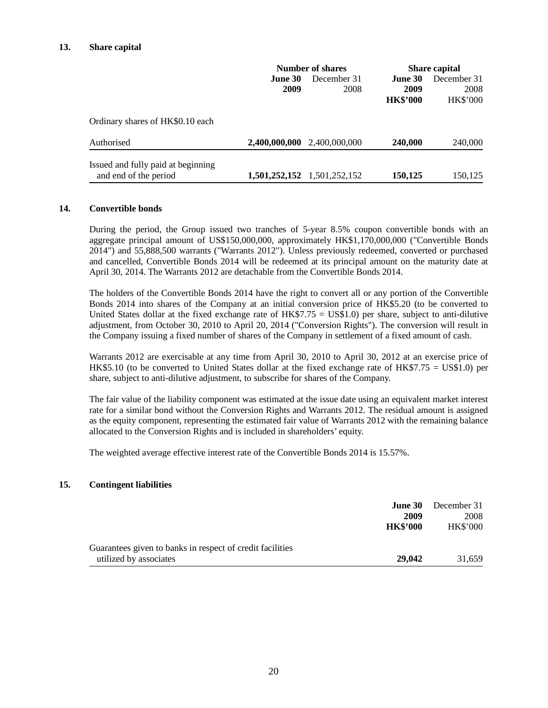|                                                             | Number of shares |                             | <b>Share capital</b> |                 |
|-------------------------------------------------------------|------------------|-----------------------------|----------------------|-----------------|
|                                                             | June 30          | December 31                 | June 30              | December 31     |
|                                                             | 2009             | 2008                        | 2009                 | 2008            |
|                                                             |                  |                             | <b>HK\$'000</b>      | <b>HK\$'000</b> |
| Ordinary shares of HK\$0.10 each                            |                  |                             |                      |                 |
| Authorised                                                  |                  | 2,400,000,000 2,400,000,000 | 240,000              | 240,000         |
| Issued and fully paid at beginning<br>and end of the period |                  | 1,501,252,152 1,501,252,152 | 150,125              | 150.125         |

#### **14. Convertible bonds**

During the period, the Group issued two tranches of 5-year 8.5% coupon convertible bonds with an aggregate principal amount of US\$150,000,000, approximately HK\$1,170,000,000 ("Convertible Bonds 2014") and 55,888,500 warrants ("Warrants 2012"). Unless previously redeemed, converted or purchased and cancelled, Convertible Bonds 2014 will be redeemed at its principal amount on the maturity date at April 30, 2014. The Warrants 2012 are detachable from the Convertible Bonds 2014.

The holders of the Convertible Bonds 2014 have the right to convert all or any portion of the Convertible Bonds 2014 into shares of the Company at an initial conversion price of HK\$5.20 (to be converted to United States dollar at the fixed exchange rate of  $HK$7.75 = US$1.0$  per share, subject to anti-dilutive adjustment, from October 30, 2010 to April 20, 2014 ("Conversion Rights"). The conversion will result in the Company issuing a fixed number of shares of the Company in settlement of a fixed amount of cash.

Warrants 2012 are exercisable at any time from April 30, 2010 to April 30, 2012 at an exercise price of HK\$5.10 (to be converted to United States dollar at the fixed exchange rate of HK\$7.75 = US\$1.0) per share, subject to anti-dilutive adjustment, to subscribe for shares of the Company.

The fair value of the liability component was estimated at the issue date using an equivalent market interest rate for a similar bond without the Conversion Rights and Warrants 2012. The residual amount is assigned as the equity component, representing the estimated fair value of Warrants 2012 with the remaining balance allocated to the Conversion Rights and is included in shareholders' equity.

The weighted average effective interest rate of the Convertible Bonds 2014 is 15.57%.

#### **15. Contingent liabilities**

| <b>June 30</b>                                            | December 31     |
|-----------------------------------------------------------|-----------------|
| 2009                                                      | 2008            |
| <b>HK\$'000</b>                                           | <b>HK\$'000</b> |
|                                                           |                 |
| Guarantees given to banks in respect of credit facilities |                 |
| 29,042<br>utilized by associates                          | 31,659          |